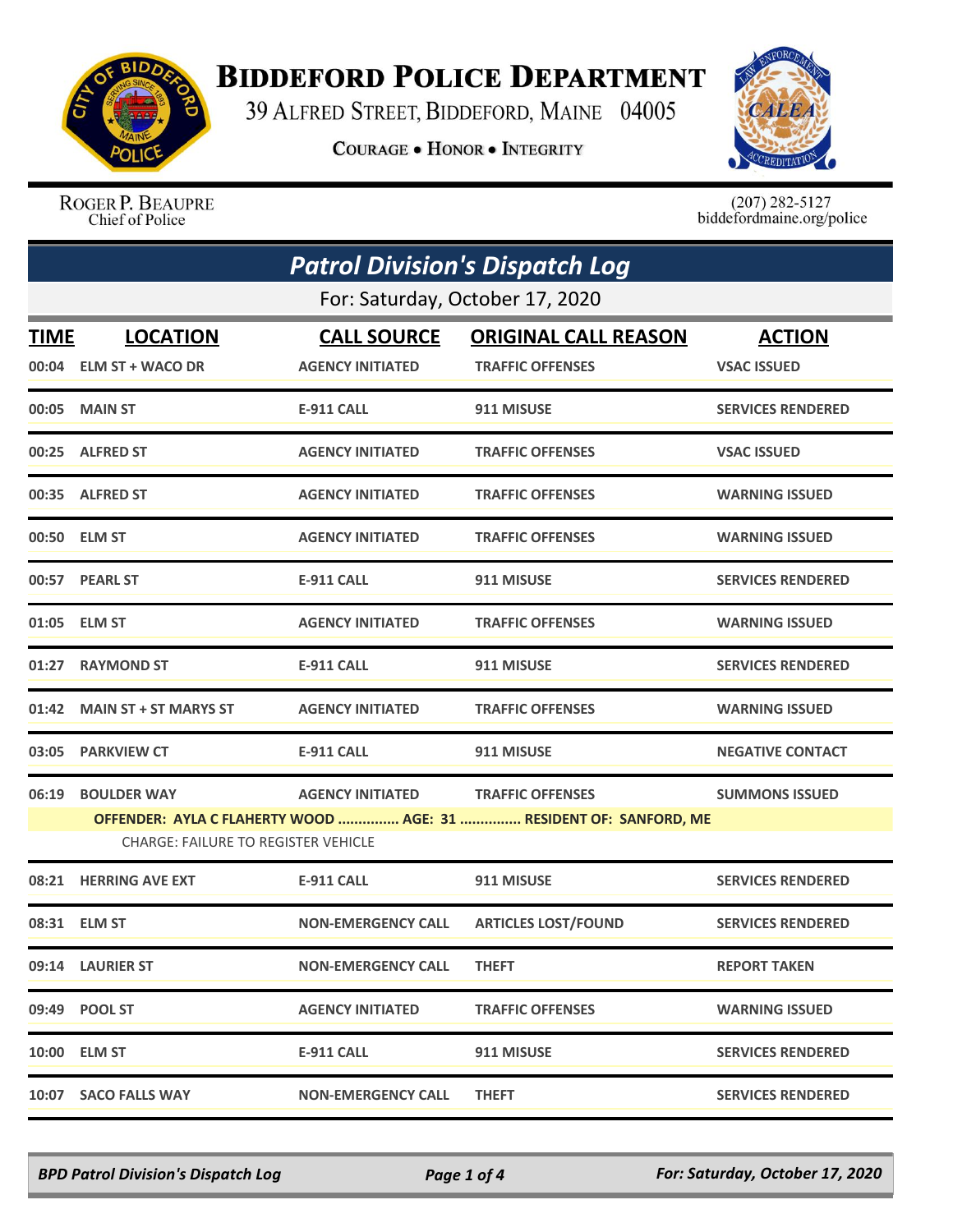

## **BIDDEFORD POLICE DEPARTMENT**

39 ALFRED STREET, BIDDEFORD, MAINE 04005

**COURAGE . HONOR . INTEGRITY** 



ROGER P. BEAUPRE Chief of Police

 $(207)$  282-5127<br>biddefordmaine.org/police

| <b>Patrol Division's Dispatch Log</b> |                                                                                                                 |                           |                             |                          |  |  |
|---------------------------------------|-----------------------------------------------------------------------------------------------------------------|---------------------------|-----------------------------|--------------------------|--|--|
|                                       | For: Saturday, October 17, 2020                                                                                 |                           |                             |                          |  |  |
| TIME                                  | <b>LOCATION</b>                                                                                                 | <b>CALL SOURCE</b>        | <b>ORIGINAL CALL REASON</b> | <b>ACTION</b>            |  |  |
|                                       | 00:04 ELM ST + WACO DR                                                                                          | <b>AGENCY INITIATED</b>   | <b>TRAFFIC OFFENSES</b>     | <b>VSAC ISSUED</b>       |  |  |
|                                       | 00:05 MAIN ST                                                                                                   | <b>E-911 CALL</b>         | 911 MISUSE                  | <b>SERVICES RENDERED</b> |  |  |
|                                       | 00:25 ALFRED ST                                                                                                 | <b>AGENCY INITIATED</b>   | <b>TRAFFIC OFFENSES</b>     | <b>VSAC ISSUED</b>       |  |  |
|                                       | 00:35 ALFRED ST                                                                                                 | <b>AGENCY INITIATED</b>   | <b>TRAFFIC OFFENSES</b>     | <b>WARNING ISSUED</b>    |  |  |
|                                       | 00:50 ELM ST                                                                                                    | <b>AGENCY INITIATED</b>   | <b>TRAFFIC OFFENSES</b>     | <b>WARNING ISSUED</b>    |  |  |
|                                       | 00:57 PEARL ST                                                                                                  | <b>E-911 CALL</b>         | 911 MISUSE                  | <b>SERVICES RENDERED</b> |  |  |
|                                       | 01:05 ELM ST                                                                                                    | <b>AGENCY INITIATED</b>   | <b>TRAFFIC OFFENSES</b>     | <b>WARNING ISSUED</b>    |  |  |
| 01:27                                 | <b>RAYMOND ST</b>                                                                                               | <b>E-911 CALL</b>         | 911 MISUSE                  | <b>SERVICES RENDERED</b> |  |  |
| 01:42                                 | <b>MAIN ST + ST MARYS ST</b>                                                                                    | <b>AGENCY INITIATED</b>   | <b>TRAFFIC OFFENSES</b>     | <b>WARNING ISSUED</b>    |  |  |
| 03:05                                 | <b>PARKVIEW CT</b>                                                                                              | <b>E-911 CALL</b>         | 911 MISUSE                  | <b>NEGATIVE CONTACT</b>  |  |  |
| 06:19                                 | <b>BOULDER WAY</b>                                                                                              | <b>AGENCY INITIATED</b>   | <b>TRAFFIC OFFENSES</b>     | <b>SUMMONS ISSUED</b>    |  |  |
|                                       | OFFENDER: AYLA C FLAHERTY WOOD  AGE: 31  RESIDENT OF: SANFORD, ME<br><b>CHARGE: FAILURE TO REGISTER VEHICLE</b> |                           |                             |                          |  |  |
| 08:21                                 | <b>HERRING AVE EXT</b>                                                                                          | <b>E-911 CALL</b>         | 911 MISUSE                  | <b>SERVICES RENDERED</b> |  |  |
|                                       | 08:31 ELM ST                                                                                                    | <b>NON-EMERGENCY CALL</b> | <b>ARTICLES LOST/FOUND</b>  | <b>SERVICES RENDERED</b> |  |  |
|                                       | 09:14 LAURIER ST                                                                                                | <b>NON-EMERGENCY CALL</b> | <b>THEFT</b>                | <b>REPORT TAKEN</b>      |  |  |
|                                       | 09:49 POOL ST                                                                                                   | <b>AGENCY INITIATED</b>   | <b>TRAFFIC OFFENSES</b>     | <b>WARNING ISSUED</b>    |  |  |
|                                       | 10:00 ELM ST                                                                                                    | E-911 CALL                | 911 MISUSE                  | <b>SERVICES RENDERED</b> |  |  |
|                                       | 10:07 SACO FALLS WAY                                                                                            | <b>NON-EMERGENCY CALL</b> | <b>THEFT</b>                | <b>SERVICES RENDERED</b> |  |  |

*BPD Patrol Division's Dispatch Log Page 1 of 4 For: Saturday, October 17, 2020*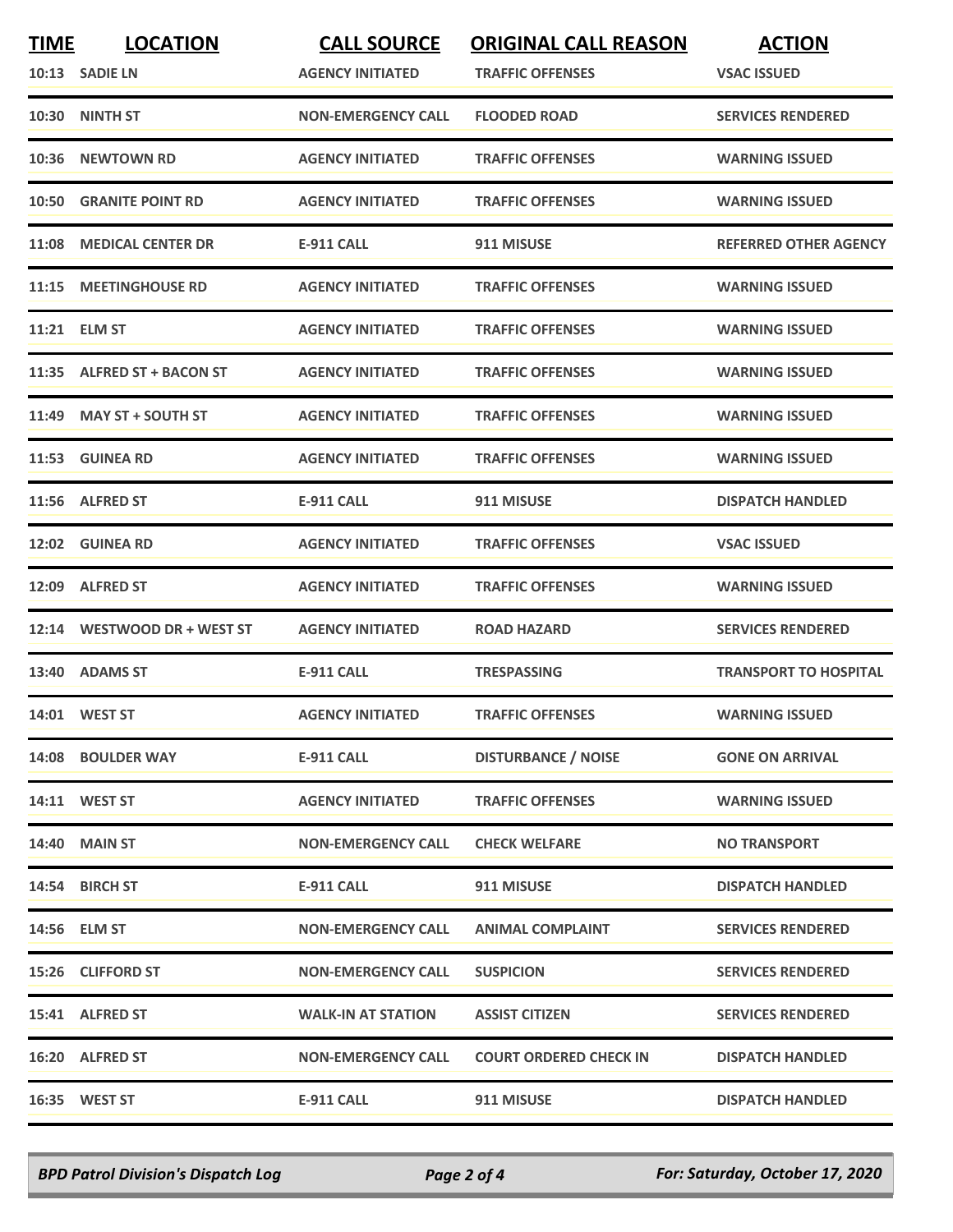| <b>TIME</b> | <b>LOCATION</b>               | <b>CALL SOURCE</b>        | <b>ORIGINAL CALL REASON</b>   | <b>ACTION</b>                |
|-------------|-------------------------------|---------------------------|-------------------------------|------------------------------|
|             | 10:13 SADIE LN                | <b>AGENCY INITIATED</b>   | <b>TRAFFIC OFFENSES</b>       | <b>VSAC ISSUED</b>           |
|             | 10:30 NINTH ST                | <b>NON-EMERGENCY CALL</b> | <b>FLOODED ROAD</b>           | <b>SERVICES RENDERED</b>     |
|             | 10:36 NEWTOWN RD              | <b>AGENCY INITIATED</b>   | <b>TRAFFIC OFFENSES</b>       | <b>WARNING ISSUED</b>        |
|             | <b>10:50 GRANITE POINT RD</b> | <b>AGENCY INITIATED</b>   | <b>TRAFFIC OFFENSES</b>       | <b>WARNING ISSUED</b>        |
|             | 11:08 MEDICAL CENTER DR       | E-911 CALL                | 911 MISUSE                    | <b>REFERRED OTHER AGENCY</b> |
|             | 11:15 MEETINGHOUSE RD         | <b>AGENCY INITIATED</b>   | <b>TRAFFIC OFFENSES</b>       | <b>WARNING ISSUED</b>        |
| 11:21       | <b>ELM ST</b>                 | <b>AGENCY INITIATED</b>   | <b>TRAFFIC OFFENSES</b>       | <b>WARNING ISSUED</b>        |
|             | 11:35 ALFRED ST + BACON ST    | <b>AGENCY INITIATED</b>   | <b>TRAFFIC OFFENSES</b>       | <b>WARNING ISSUED</b>        |
|             | 11:49 MAY ST + SOUTH ST       | <b>AGENCY INITIATED</b>   | <b>TRAFFIC OFFENSES</b>       | <b>WARNING ISSUED</b>        |
|             | 11:53 GUINEA RD               | <b>AGENCY INITIATED</b>   | <b>TRAFFIC OFFENSES</b>       | <b>WARNING ISSUED</b>        |
|             | 11:56 ALFRED ST               | E-911 CALL                | 911 MISUSE                    | <b>DISPATCH HANDLED</b>      |
|             | 12:02 GUINEA RD               | <b>AGENCY INITIATED</b>   | <b>TRAFFIC OFFENSES</b>       | <b>VSAC ISSUED</b>           |
|             | 12:09 ALFRED ST               | <b>AGENCY INITIATED</b>   | <b>TRAFFIC OFFENSES</b>       | <b>WARNING ISSUED</b>        |
|             | 12:14 WESTWOOD DR + WEST ST   | <b>AGENCY INITIATED</b>   | <b>ROAD HAZARD</b>            | <b>SERVICES RENDERED</b>     |
|             | 13:40 ADAMS ST                | <b>E-911 CALL</b>         | <b>TRESPASSING</b>            | <b>TRANSPORT TO HOSPITAL</b> |
|             | 14:01 WEST ST                 | <b>AGENCY INITIATED</b>   | <b>TRAFFIC OFFENSES</b>       | <b>WARNING ISSUED</b>        |
|             | 14:08 BOULDER WAY             | E-911 CALL                | <b>DISTURBANCE / NOISE</b>    | <b>GONE ON ARRIVAL</b>       |
|             | 14:11 WEST ST                 | <b>AGENCY INITIATED</b>   | <b>TRAFFIC OFFENSES</b>       | <b>WARNING ISSUED</b>        |
|             | <b>14:40 MAIN ST</b>          | <b>NON-EMERGENCY CALL</b> | <b>CHECK WELFARE</b>          | <b>NO TRANSPORT</b>          |
|             | 14:54 BIRCH ST                | E-911 CALL                | 911 MISUSE                    | <b>DISPATCH HANDLED</b>      |
|             | 14:56 ELM ST                  | <b>NON-EMERGENCY CALL</b> | <b>ANIMAL COMPLAINT</b>       | <b>SERVICES RENDERED</b>     |
|             | 15:26 CLIFFORD ST             | <b>NON-EMERGENCY CALL</b> | <b>SUSPICION</b>              | <b>SERVICES RENDERED</b>     |
|             | 15:41 ALFRED ST               | <b>WALK-IN AT STATION</b> | <b>ASSIST CITIZEN</b>         | <b>SERVICES RENDERED</b>     |
|             | 16:20 ALFRED ST               | <b>NON-EMERGENCY CALL</b> | <b>COURT ORDERED CHECK IN</b> | <b>DISPATCH HANDLED</b>      |
|             | 16:35 WEST ST                 | <b>E-911 CALL</b>         | 911 MISUSE                    | <b>DISPATCH HANDLED</b>      |

*BPD Patrol Division's Dispatch Log Page 2 of 4 For: Saturday, October 17, 2020*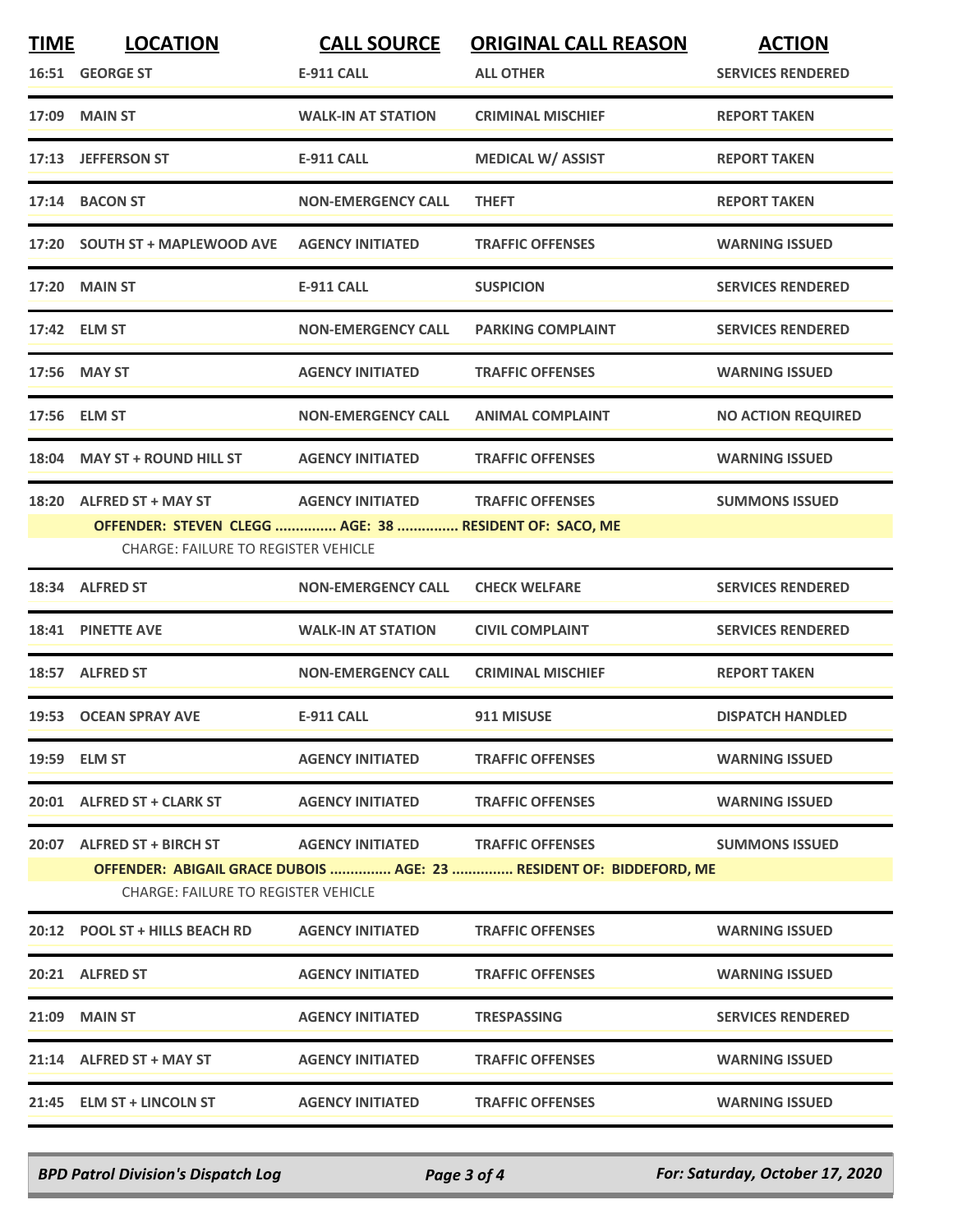| <b>TIME</b> | <b>LOCATION</b>                                                                                                   | <b>CALL SOURCE</b>        | <b>ORIGINAL CALL REASON</b> | <b>ACTION</b>             |  |  |
|-------------|-------------------------------------------------------------------------------------------------------------------|---------------------------|-----------------------------|---------------------------|--|--|
|             | 16:51 GEORGE ST                                                                                                   | <b>E-911 CALL</b>         | <b>ALL OTHER</b>            | <b>SERVICES RENDERED</b>  |  |  |
|             | 17:09 MAIN ST                                                                                                     | <b>WALK-IN AT STATION</b> | <b>CRIMINAL MISCHIEF</b>    | <b>REPORT TAKEN</b>       |  |  |
|             | 17:13 JEFFERSON ST                                                                                                | <b>E-911 CALL</b>         | <b>MEDICAL W/ ASSIST</b>    | <b>REPORT TAKEN</b>       |  |  |
|             | 17:14 BACON ST                                                                                                    | <b>NON-EMERGENCY CALL</b> | <b>THEFT</b>                | <b>REPORT TAKEN</b>       |  |  |
|             | 17:20 SOUTH ST + MAPLEWOOD AVE                                                                                    | <b>AGENCY INITIATED</b>   | <b>TRAFFIC OFFENSES</b>     | <b>WARNING ISSUED</b>     |  |  |
|             | <b>17:20 MAIN ST</b>                                                                                              | <b>E-911 CALL</b>         | <b>SUSPICION</b>            | <b>SERVICES RENDERED</b>  |  |  |
|             | 17:42 ELM ST                                                                                                      | <b>NON-EMERGENCY CALL</b> | <b>PARKING COMPLAINT</b>    | <b>SERVICES RENDERED</b>  |  |  |
|             | 17:56 MAY ST                                                                                                      | <b>AGENCY INITIATED</b>   | <b>TRAFFIC OFFENSES</b>     | <b>WARNING ISSUED</b>     |  |  |
|             | 17:56 ELM ST                                                                                                      | <b>NON-EMERGENCY CALL</b> | <b>ANIMAL COMPLAINT</b>     | <b>NO ACTION REQUIRED</b> |  |  |
|             | 18:04 MAY ST + ROUND HILL ST                                                                                      | <b>AGENCY INITIATED</b>   | <b>TRAFFIC OFFENSES</b>     | <b>WARNING ISSUED</b>     |  |  |
|             | 18:20 ALFRED ST + MAY ST                                                                                          | <b>AGENCY INITIATED</b>   | <b>TRAFFIC OFFENSES</b>     | <b>SUMMONS ISSUED</b>     |  |  |
|             | OFFENDER: STEVEN CLEGG  AGE: 38  RESIDENT OF: SACO, ME<br><b>CHARGE: FAILURE TO REGISTER VEHICLE</b>              |                           |                             |                           |  |  |
|             | 18:34 ALFRED ST                                                                                                   | <b>NON-EMERGENCY CALL</b> | <b>CHECK WELFARE</b>        | <b>SERVICES RENDERED</b>  |  |  |
|             | 18:41 PINETTE AVE                                                                                                 | <b>WALK-IN AT STATION</b> | <b>CIVIL COMPLAINT</b>      | <b>SERVICES RENDERED</b>  |  |  |
|             | 18:57 ALFRED ST                                                                                                   | <b>NON-EMERGENCY CALL</b> | <b>CRIMINAL MISCHIEF</b>    | <b>REPORT TAKEN</b>       |  |  |
|             | 19:53 OCEAN SPRAY AVE                                                                                             | <b>E-911 CALL</b>         | 911 MISUSE                  | <b>DISPATCH HANDLED</b>   |  |  |
|             | 19:59 ELM ST                                                                                                      | <b>AGENCY INITIATED</b>   | <b>TRAFFIC OFFENSES</b>     | <b>WARNING ISSUED</b>     |  |  |
|             | 20:01 ALFRED ST + CLARK ST                                                                                        | <b>AGENCY INITIATED</b>   | <b>TRAFFIC OFFENSES</b>     | <b>WARNING ISSUED</b>     |  |  |
|             | 20:07 ALFRED ST + BIRCH ST                                                                                        | <b>AGENCY INITIATED</b>   | <b>TRAFFIC OFFENSES</b>     | <b>SUMMONS ISSUED</b>     |  |  |
|             | OFFENDER: ABIGAIL GRACE DUBOIS  AGE: 23  RESIDENT OF: BIDDEFORD, ME<br><b>CHARGE: FAILURE TO REGISTER VEHICLE</b> |                           |                             |                           |  |  |
|             | 20:12 POOL ST + HILLS BEACH RD                                                                                    | <b>AGENCY INITIATED</b>   | <b>TRAFFIC OFFENSES</b>     | <b>WARNING ISSUED</b>     |  |  |
|             | 20:21 ALFRED ST                                                                                                   | <b>AGENCY INITIATED</b>   | <b>TRAFFIC OFFENSES</b>     | <b>WARNING ISSUED</b>     |  |  |
|             | <b>21:09 MAIN ST</b>                                                                                              | <b>AGENCY INITIATED</b>   | <b>TRESPASSING</b>          | <b>SERVICES RENDERED</b>  |  |  |
|             | 21:14 ALFRED ST + MAY ST                                                                                          | <b>AGENCY INITIATED</b>   | <b>TRAFFIC OFFENSES</b>     | <b>WARNING ISSUED</b>     |  |  |
|             | 21:45 ELM ST + LINCOLN ST                                                                                         | <b>AGENCY INITIATED</b>   | <b>TRAFFIC OFFENSES</b>     | <b>WARNING ISSUED</b>     |  |  |

*BPD Patrol Division's Dispatch Log Page 3 of 4 For: Saturday, October 17, 2020*